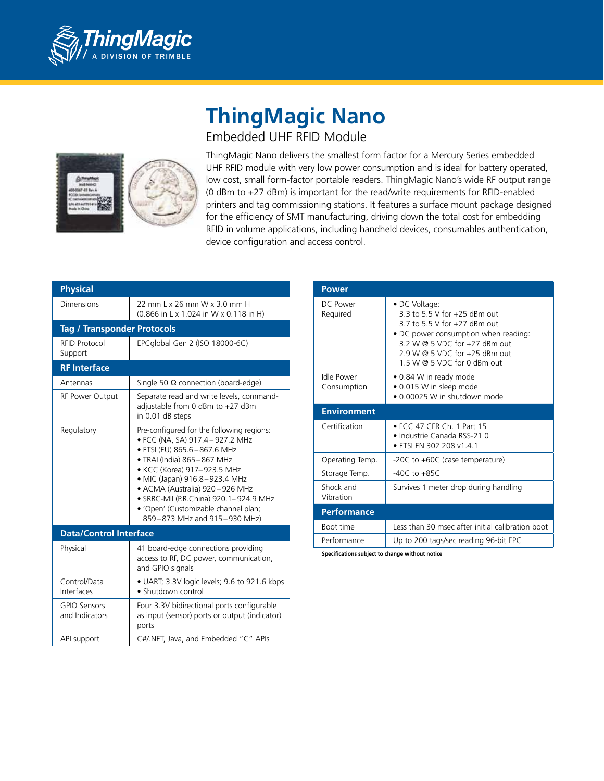

## **ThingMagic Nano** Embedded UHF RFID Module



ThingMagic Nano delivers the smallest form factor for a Mercury Series embedded UHF RFID module with very low power consumption and is ideal for battery operated, low cost, small form-factor portable readers. ThingMagic Nano's wide RF output range (0 dBm to +27 dBm) is important for the read/write requirements for RFID-enabled printers and tag commissioning stations. It features a surface mount package designed for the efficiency of SMT manufacturing, driving down the total cost for embedding RFID in volume applications, including handheld devices, consumables authentication, device configuration and access control.

| <b>Physical</b>                       |                                                                                                                                                                                                                                                                                                                                                                |
|---------------------------------------|----------------------------------------------------------------------------------------------------------------------------------------------------------------------------------------------------------------------------------------------------------------------------------------------------------------------------------------------------------------|
| Dimensions                            | 22 mm L x 26 mm W x 3.0 mm H<br>(0.866 in L x 1.024 in W x 0.118 in H)                                                                                                                                                                                                                                                                                         |
| <b>Tag / Transponder Protocols</b>    |                                                                                                                                                                                                                                                                                                                                                                |
| <b>RFID Protocol</b><br>Support       | EPCglobal Gen 2 (ISO 18000-6C)                                                                                                                                                                                                                                                                                                                                 |
| <b>RF</b> Interface                   |                                                                                                                                                                                                                                                                                                                                                                |
| Antennas                              | Single 50 $\Omega$ connection (board-edge)                                                                                                                                                                                                                                                                                                                     |
| RF Power Output                       | Separate read and write levels, command-<br>adjustable from 0 dBm to +27 dBm<br>in 0.01 dB steps                                                                                                                                                                                                                                                               |
| Regulatory                            | Pre-configured for the following regions:<br>• FCC (NA, SA) 917.4 - 927.2 MHz<br>· ETSI (EU) 865.6-867.6 MHz<br>• TRAI (India) 865-867 MHz<br>• KCC (Korea) 917-923.5 MHz<br>• MIC (Japan) 916.8-923.4 MHz<br>• ACMA (Australia) 920-926 MHz<br>· SRRC-MII (P.R.China) 920.1-924.9 MHz<br>• 'Open' (Customizable channel plan;<br>859-873 MHz and 915-930 MHz) |
| <b>Data/Control Interface</b>         |                                                                                                                                                                                                                                                                                                                                                                |
| Physical                              | 41 board-edge connections providing<br>access to RF, DC power, communication,<br>and GPIO signals                                                                                                                                                                                                                                                              |
| Control/Data<br>Interfaces            | • UART; 3.3V logic levels; 9.6 to 921.6 kbps<br>• Shutdown control                                                                                                                                                                                                                                                                                             |
| <b>GPIO Sensors</b><br>and Indicators | Four 3.3V bidirectional ports configurable<br>as input (sensor) ports or output (indicator)<br>ports                                                                                                                                                                                                                                                           |
| API support                           | C#/.NET, Java, and Embedded "C" APIs                                                                                                                                                                                                                                                                                                                           |

| Power                     |                                                                                                                                                                                                                            |
|---------------------------|----------------------------------------------------------------------------------------------------------------------------------------------------------------------------------------------------------------------------|
| DC Power<br>Required      | • DC Voltage:<br>3 3 to 5 5 V for +25 dBm out<br>3.7 to 5.5 V for +27 dBm out<br>• DC power consumption when reading:<br>3.2 W @ 5 VDC for +27 dBm out<br>$2.9 W @ 5 VDC$ for $+25$ dBm out<br>1.5 W @ 5 VDC for 0 dBm out |
| Idle Power<br>Consumption | • 0.84 W in ready mode<br>• 0.015 W in sleep mode<br>• 0.00025 W in shutdown mode                                                                                                                                          |
| <b>Environment</b>        |                                                                                                                                                                                                                            |
| Certification             | • FCC 47 CFR Ch. 1 Part 15<br>• Industrie Canada RSS-21 0<br>• ETSI EN 302 208 v1.4.1                                                                                                                                      |
| Operating Temp.           | -20C to +60C (case temperature)                                                                                                                                                                                            |
| Storage Temp.             | $-40C$ to $+85C$                                                                                                                                                                                                           |
| Shock and<br>Vibration    | Survives 1 meter drop during handling                                                                                                                                                                                      |
| <b>Performance</b>        |                                                                                                                                                                                                                            |
| Boot time                 | Less than 30 msec after initial calibration boot                                                                                                                                                                           |
|                           |                                                                                                                                                                                                                            |
| Performance               | Up to 200 tags/sec reading 96-bit EPC                                                                                                                                                                                      |

**Specifications subject to change without notice**